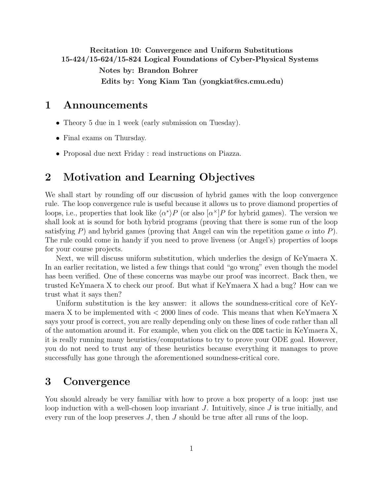<span id="page-0-0"></span>Recitation 10: Convergence and Uniform Substitutions 15-424/15-624/15-824 Logical Foundations of Cyber-Physical Systems Notes by: Brandon Bohrer

Edits by: Yong Kiam Tan (yongkiat@cs.cmu.edu)

## 1 Announcements

- Theory 5 due in 1 week (early submission on Tuesday).
- Final exams on Thursday.
- Proposal due next Friday : read instructions on Piazza.

# 2 Motivation and Learning Objectives

We shall start by rounding off our discussion of hybrid games with the loop convergence rule. The loop convergence rule is useful because it allows us to prove diamond properties of loops, i.e., properties that look like  $\langle \alpha^* \rangle P$  (or also  $\langle \alpha^* \rangle P$  for hybrid games). The version we shall look at is sound for both hybrid programs (proving that there is some run of the loop satisfying P) and hybrid games (proving that Angel can win the repetition game  $\alpha$  into P). The rule could come in handy if you need to prove liveness (or Angel's) properties of loops for your course projects.

Next, we will discuss uniform substitution, which underlies the design of KeYmaera X. In an earlier recitation, we listed a few things that could "go wrong" even though the model has been verified. One of these concerns was maybe our proof was incorrect. Back then, we trusted KeYmaera X to check our proof. But what if KeYmaera X had a bug? How can we trust what it says then?

Uniform substitution is the key answer: it allows the soundness-critical core of KeYmaera X to be implemented with < 2000 lines of code. This means that when KeYmaera X says your proof is correct, you are really depending only on these lines of code rather than all of the automation around it. For example, when you click on the ODE tactic in KeYmaera X, it is really running many heuristics/computations to try to prove your ODE goal. However, you do not need to trust any of these heuristics because everything it manages to prove successfully has gone through the aforementioned soundness-critical core.

## 3 Convergence

You should already be very familiar with how to prove a box property of a loop: just use loop induction with a well-chosen loop invariant J. Intuitively, since  $J$  is true initially, and every run of the loop preserves J, then J should be true after all runs of the loop.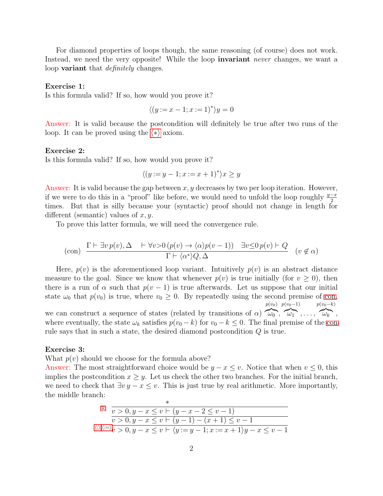For diamond properties of loops though, the same reasoning (of course) does not work. Instead, we need the very opposite! While the loop **invariant** never changes, we want a loop **variant** that *definitely* changes.

### Exercise 1:

Is this formula valid? If so, how would you prove it?

$$
\langle (y:=x-1;x:=1)^* \rangle y=0
$$

Answer: It is valid because the postcondition will definitely be true after two runs of the loop. It can be proved using the  $\langle \ast \rangle$  axiom.

### Exercise 2:

Is this formula valid? If so, how would you prove it?

$$
\langle (y:=y-1; x:=x+1)^* \rangle x \ge y
$$

Answer: It is valid because the gap between  $x, y$  decreases by two per loop iteration. However, if we were to do this in a "proof" like before, we would need to unfold the loop roughly  $\frac{y-x}{2}$ times. But that is silly because your (syntactic) proof should not change in length for different (semantic) values of  $x, y$ .

To prove this latter formula, we will need the convergence rule.

$$
\text{(con)} \quad \frac{\Gamma \vdash \exists v \, p(v), \Delta \quad \vdash \forall v > 0 \, (p(v) \to \langle \alpha \rangle p(v-1)) \quad \exists v \leq 0 \, p(v) \vdash Q}{\Gamma \vdash \langle \alpha^* \rangle Q, \Delta} \quad (v \notin \alpha)
$$

Here,  $p(v)$  is the aforementioned loop variant. Intuitively  $p(v)$  is an abstract distance measure to the goal. Since we know that whenever  $p(v)$  is true initially (for  $v \geq 0$ ), then there is a run of  $\alpha$  such that  $p(v-1)$  is true afterwards. Let us suppose that our initial state  $\omega_0$  that  $p(v_0)$  is true, where  $v_0 \geq 0$ . By repeatedly using the second premise of [con,](#page-0-0) we can construct a sequence of states (related by transitions of  $\alpha$ )  $\omega_0$ ,  $\omega_1$ ,...,  $\omega_k$ ,  $p(v_0)$   $p(v_0-1)$  $p(v_0-k)$ where eventually, the state  $\omega_k$  satisfies  $p(v_0 - k)$  for  $v_0 - k \leq 0$ . The final premise of the [con](#page-0-0) rule says that in such a state, the desired diamond postcondition Q is true.

### Exercise 3:

What  $p(v)$  should we choose for the formula above?

Answer: The most straightforward choice would be  $y - x \leq v$ . Notice that when  $v \leq 0$ , this implies the postcondition  $x \geq y$ . Let us check the other two branches. For the initial branch, we need to check that  $\exists v \, y - x \leq v$ . This is just true by real arithmetic. More importantly, the middle branch:

$$
R\n\n v > 0, y - x ≤ v + (y - x - 2 ≤ v - 1)\n\n v > 0, y - x ≤ v + (y - 1) - (x + 1) ≤ v - 1\n\n 
$$
= v + (y - 1) - (x + 1) ≤ v - 1
$$
\n
$$
= v + 1
$$
\n
$$
= v + 1
$$
$$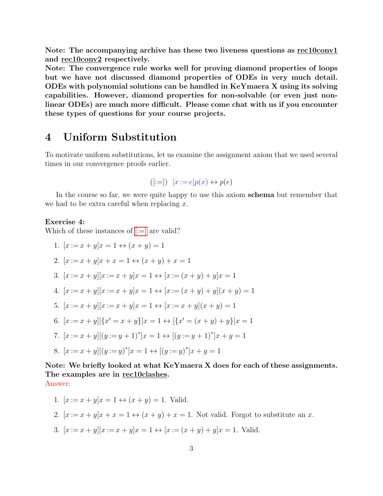Note: The accompanying archive has these two liveness questions as rec10conv1 and rec10conv2 respectively.

Note: The convergence rule works well for proving diamond properties of loops but we have not discussed diamond properties of ODEs in very much detail. ODEs with polynomial solutions can be handled in KeYmaera X using its solving capabilities. However, diamond properties for non-solvable (or even just nonlinear ODEs) are much more difficult. Please come chat with us if you encounter these types of questions for your course projects.

## 4 Uniform Substitution

To motivate uniform substitutions, let us examine the assignment axiom that we used several times in our convergence proofs earlier.

$$
([:=]) [x := e]p(x) \leftrightarrow p(e)
$$

In the course so far, we were quite happy to use this axiom **schema** but remember that we had to be extra careful when replacing  $x$ .

### Exercise 4:

Which of these instances of  $|:=|$  are valid?

1.  $[x := x + y]x = 1 \leftrightarrow (x + y) = 1$ 2.  $[x := x + y]x + x = 1 \leftrightarrow (x + y) + x = 1$ 3.  $[x := x + y][x := x + y]x = 1 \leftrightarrow [x := (x + y) + y]x = 1$ 4.  $[x := x + y][x := x + y]x = 1 \Leftrightarrow [x := (x + y) + y](x + y) = 1$ 5.  $[x := x + y][x := x + y]x = 1 \leftrightarrow [x := x + y](x + y) = 1$ 6.  $[x := x + y][\{x' = x + y\}]x = 1 \leftrightarrow [\{x' = (x + y) + y\}]x = 1$ 7.  $[x := x + y][(y := y + 1)^*]x = 1 \leftrightarrow [(y := y + 1)^*]x + y = 1$ 8.  $[x := x + y][(y := y)^*]x = 1 \leftrightarrow [(y := y)^*]x + y = 1$ 

## Note: We briefly looked at what KeYmaera X does for each of these assignments. The examples are in rec10clashes. Answer:

1.  $[x := x + y]x = 1 \leftrightarrow (x + y) = 1$ . Valid.

- 2.  $[x := x + y]x + x = 1 \leftrightarrow (x + y) + x = 1$ . Not valid. Forgot to substitute an x.
- 3.  $[x := x + y][x := x + y]x = 1 \leftrightarrow [x := (x + y) + y]x = 1$ . Valid.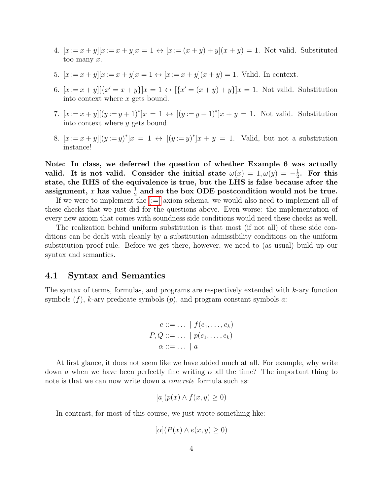- 4.  $[x := x + y][x := x + y]x = 1 \leftrightarrow [x := (x + y) + y](x + y) = 1$ . Not valid. Substituted too many x.
- 5.  $[x := x + y][x := x + y]x = 1 \leftrightarrow [x := x + y](x + y) = 1$ . Valid. In context.
- 6.  $[x := x + y][\{x' = x + y\}]x = 1 \leftrightarrow [\{x' = (x + y) + y\}]x = 1$ . Not valid. Substitution into context where x gets bound.
- 7.  $[x := x + y][(y := y + 1)^*]x = 1 \leftrightarrow [(y := y + 1)^*]x + y = 1$ . Not valid. Substitution into context where  $y$  gets bound.
- 8.  $[x := x + y][(y := y)^*]x = 1 \leftrightarrow [(y := y)^*]x + y = 1$ . Valid, but not a substitution instance!

Note: In class, we deferred the question of whether Example 6 was actually valid. It is not valid. Consider the initial state  $\omega(x) = 1, \omega(y) = -\frac{1}{2}$  $\frac{1}{2}$ . For this state, the RHS of the equivalence is true, but the LHS is false because after the assignment,  $x$  has value  $\frac{1}{2}$  and so the box ODE postcondition would not be true.

If we were to implement the [\[:=\]](#page-0-0) axiom schema, we would also need to implement all of these checks that we just did for the questions above. Even worse: the implementation of every new axiom that comes with soundness side conditions would need these checks as well.

The realization behind uniform substitution is that most (if not all) of these side conditions can be dealt with cleanly by a substitution admissibility conditions on the uniform substitution proof rule. Before we get there, however, we need to (as usual) build up our syntax and semantics.

### 4.1 Syntax and Semantics

The syntax of terms, formulas, and programs are respectively extended with  $k$ -ary function symbols  $(f)$ , k-ary predicate symbols  $(p)$ , and program constant symbols a:

$$
e ::= \dots \mid f(e_1, \dots, e_k)
$$
  

$$
P, Q ::= \dots \mid p(e_1, \dots, e_k)
$$
  

$$
\alpha ::= \dots \mid a
$$

At first glance, it does not seem like we have added much at all. For example, why write down a when we have been perfectly fine writing  $\alpha$  all the time? The important thing to note is that we can now write down a *concrete* formula such as:

$$
[a](p(x) \wedge f(x, y) \ge 0)
$$

In contrast, for most of this course, we just wrote something like:

$$
[\alpha](P(x) \wedge e(x, y) \ge 0)
$$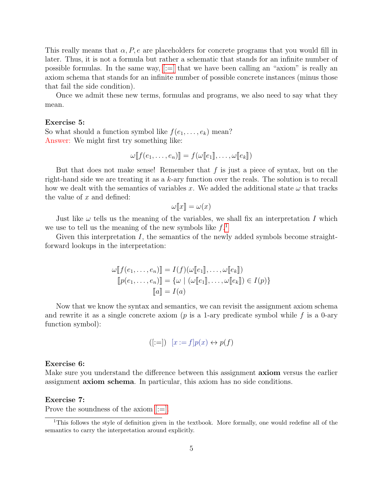This really means that  $\alpha$ , P, e are placeholders for concrete programs that you would fill in later. Thus, it is not a formula but rather a schematic that stands for an infinite number of possible formulas. In the same way,  $[:=]$  that we have been calling an "axiom" is really an axiom schema that stands for an infinite number of possible concrete instances (minus those that fail the side condition).

Once we admit these new terms, formulas and programs, we also need to say what they mean.

### Exercise 5:

So what should a function symbol like  $f(e_1, \ldots, e_k)$  mean? Answer: We might first try something like:

$$
\omega[[f(e_1,\ldots,e_n)]] = f(\omega[[e_1]],\ldots,\omega[[e_k]])
$$

But that does not make sense! Remember that  $f$  is just a piece of syntax, but on the right-hand side we are treating it as a k-ary function over the reals. The solution is to recall how we dealt with the semantics of variables x. We added the additional state  $\omega$  that tracks the value of  $x$  and defined:

$$
\omega[\hspace{-1.5pt}[ x]\hspace{-1.5pt}]=\omega(x)
$$

Just like  $\omega$  tells us the meaning of the variables, we shall fix an interpretation I which we use to tell us the meaning of the new symbols like  $f<sup>1</sup>$  $f<sup>1</sup>$  $f<sup>1</sup>$ 

Given this interpretation I, the semantics of the newly added symbols become straightforward lookups in the interpretation:

$$
\omega[[f(e_1, \dots, e_n)]] = I(f)(\omega[[e_1]], \dots, \omega[[e_k]])
$$

$$
[[p(e_1, \dots, e_n)]] = {\omega \mid (\omega[[e_1]], \dots, \omega[[e_k]]) \in I(p)}
$$

$$
[[a]] = I(a)
$$

Now that we know the syntax and semantics, we can revisit the assignment axiom schema and rewrite it as a single concrete axiom ( $p$  is a 1-ary predicate symbol while  $f$  is a 0-ary function symbol):

<span id="page-4-1"></span>
$$
([- =]) [x := f]p(x) \leftrightarrow p(f)
$$

### Exercise 6:

Make sure you understand the difference between this assignment **axiom** versus the earlier assignment axiom schema. In particular, this axiom has no side conditions.

### Exercise 7:

Prove the soundness of the axiom  $[:=]$ .

<span id="page-4-0"></span><sup>&</sup>lt;sup>1</sup>This follows the style of definition given in the textbook. More formally, one would redefine all of the semantics to carry the interpretation around explicitly.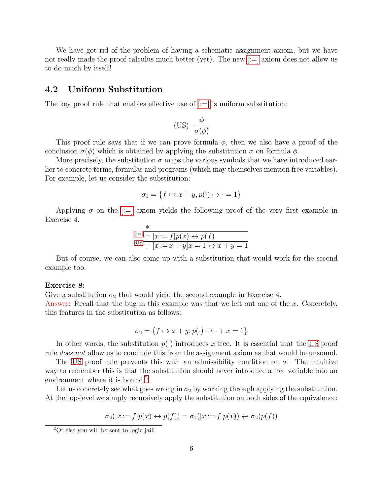We have got rid of the problem of having a schematic assignment axiom, but we have not really made the proof calculus much better (yet). The new  $|:=|$  axiom does not allow us to do much by itself!

## 4.2 Uniform Substitution

The key proof rule that enables effective use of  $[:=]$  is uniform substitution:

<span id="page-5-0"></span>
$$
\text{(US)}\ \ \frac{\phi}{\sigma(\phi)}
$$

This proof rule says that if we can prove formula  $\phi$ , then we also have a proof of the conclusion  $\sigma(\phi)$  which is obtained by applying the substitution  $\sigma$  on formula  $\phi$ .

More precisely, the substitution  $\sigma$  maps the various symbols that we have introduced earlier to concrete terms, formulas and programs (which may themselves mention free variables). For example, let us consider the substitution:

$$
\sigma_1 = \{ f \mapsto x + y, p(\cdot) \mapsto \cdot = 1 \}
$$

Applying  $\sigma$  on the [\[:=\]](#page-4-1) axiom yields the following proof of the very first example in Exercise 4.

$$
\lim_{x \to 0} \frac{f(x)}{f(x)} = \frac{f}{f(x)} \frac{f(x)}{f(x)} \Leftrightarrow p(f)
$$
\n
$$
\lim_{x \to 0} \frac{f(x)}{f(x)} = \lim_{x \to 0} \frac{f(x)}{f(x)} = \lim_{x \to 0} \frac{f(x)}{f(x)} = \lim_{x \to 0} \frac{f(x)}{f(x)} = \lim_{x \to 0} \frac{f(x)}{f(x)} = \lim_{x \to 0} \frac{f(x)}{f(x)} = \lim_{x \to 0} \frac{f(x)}{f(x)} = \lim_{x \to 0} \frac{f(x)}{f(x)} = \lim_{x \to 0} \frac{f(x)}{f(x)} = \lim_{x \to 0} \frac{f(x)}{f(x)} = \lim_{x \to 0} \frac{f(x)}{f(x)} = \lim_{x \to 0} \frac{f(x)}{f(x)} = \lim_{x \to 0} \frac{f(x)}{f(x)} = \lim_{x \to 0} \frac{f(x)}{f(x)} = \lim_{x \to 0} \frac{f(x)}{f(x)} = \lim_{x \to 0} \frac{f(x)}{f(x)} = \lim_{x \to 0} \frac{f(x)}{f(x)} = \lim_{x \to 0} \frac{f(x)}{f(x)} = \lim_{x \to 0} \frac{f(x)}{f(x)} = \lim_{x \to 0} \frac{f(x)}{f(x)} = \lim_{x \to 0} \frac{f(x)}{f(x)} = \lim_{x \to 0} \frac{f(x)}{f(x)} = \lim_{x \to 0} \frac{f(x)}{f(x)} = \lim_{x \to 0} \frac{f(x)}{f(x)} = \lim_{x \to 0} \frac{f(x)}{f(x)} = \lim_{x \to 0} \frac{f(x)}{f(x)} = \lim_{x \to 0} \frac{f(x)}{f(x)} = \lim_{x \to 0} \frac{f(x)}{f(x)} = \lim_{x \to 0} \frac{f(x)}{f(x)} = \lim_{x \to 0} \frac{f(x)}{f(x)} = \lim_{x \to 0} \frac{f(x)}{f(x)} = \lim_{x \to 0} \frac{f(x)}{f(x)} = \lim_{x \to 0} \frac{f(x)}{f(x)} = \lim_{x \to 0} \frac{f(x)}{f(x)} = \lim_{x \to 0} \frac{f(x)}{f(x)} = \lim_{x \to
$$

But of course, we can also come up with a substitution that would work for the second example too.

#### Exercise 8:

Give a substitution  $\sigma_2$  that would yield the second example in Exercise 4.

Answer: Recall that the bug in this example was that we left out one of the x. Concretely, this features in the substitution as follows:

$$
\sigma_2 = \{ f \mapsto x + y, p(\cdot) \mapsto \cdot + x = 1 \}
$$

In other words, the substitution  $p(\cdot)$  introduces x free. It is essential that the [US](#page-5-0) proof rule does not allow us to conclude this from the assignment axiom as that would be unsound.

The [US](#page-5-0) proof rule prevents this with an admissibility condition on  $\sigma$ . The intuitive way to remember this is that the substitution should never introduce a free variable into an environment where it is bound.<sup>[2](#page-5-1)</sup>

Let us concretely see what goes wrong in  $\sigma_2$  by working through applying the substitution. At the top-level we simply recursively apply the substitution on both sides of the equivalence:

$$
\sigma_2([x:=f]p(x) \leftrightarrow p(f)) = \sigma_2([x:=f]p(x)) \leftrightarrow \sigma_2(p(f))
$$

<span id="page-5-1"></span><sup>2</sup>Or else you will be sent to logic jail!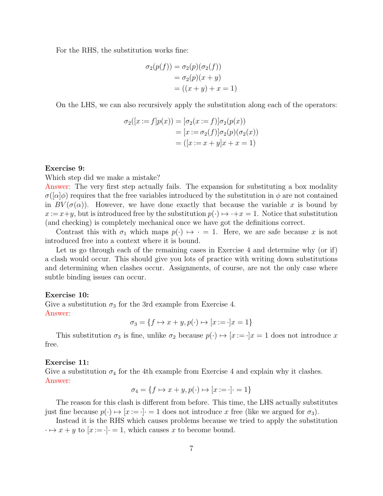For the RHS, the substitution works fine:

$$
\sigma_2(p(f)) = \sigma_2(p)(\sigma_2(f))
$$
  
= 
$$
\sigma_2(p)(x + y)
$$
  
= 
$$
((x + y) + x = 1)
$$

On the LHS, we can also recursively apply the substitution along each of the operators:

$$
\sigma_2([x:=f]p(x)) = [\sigma_2(x:=f)]\sigma_2(p(x))
$$

$$
= [x:=\sigma_2(f)]\sigma_2(p)(\sigma_2(x))
$$

$$
= ([x:=x+y]x + x = 1)
$$

### Exercise 9:

Which step did we make a mistake?

Answer: The very first step actually fails. The expansion for substituting a box modality  $\sigma(|\alpha|\phi)$  requires that the free variables introduced by the substitution in  $\phi$  are not contained in  $BV(\sigma(\alpha))$ . However, we have done exactly that because the variable x is bound by  $x := x+y$ , but is introduced free by the substitution  $p(\cdot) \mapsto x+1$ . Notice that substitution (and checking) is completely mechanical once we have got the definitions correct.

Contrast this with  $\sigma_1$  which maps  $p(\cdot) \mapsto \cdot = 1$ . Here, we are safe because x is not introduced free into a context where it is bound.

Let us go through each of the remaining cases in Exercise 4 and determine why (or if) a clash would occur. This should give you lots of practice with writing down substitutions and determining when clashes occur. Assignments, of course, are not the only case where subtle binding issues can occur.

### Exercise 10:

Give a substitution  $\sigma_3$  for the 3rd example from Exercise 4. Answer:

$$
\sigma_3 = \{ f \mapsto x + y, p(\cdot) \mapsto [x := \cdot]x = 1 \}
$$

This substitution  $\sigma_3$  is fine, unlike  $\sigma_2$  because  $p(\cdot) \mapsto [x := \cdot]x = 1$  does not introduce x free.

### Exercise 11:

Give a substitution  $\sigma_4$  for the 4th example from Exercise 4 and explain why it clashes. Answer:

$$
\sigma_4 = \{ f \mapsto x + y, p(\cdot) \mapsto [x := \cdot] \cdot = 1 \}
$$

The reason for this clash is different from before. This time, the LHS actually substitutes just fine because  $p(\cdot) \mapsto [x := \cdot] \cdot = 1$  does not introduce x free (like we argued for  $\sigma_3$ ).

Instead it is the RHS which causes problems because we tried to apply the substitution  $\cdot \mapsto x + y$  to  $[x := \cdot] \cdot = 1$ , which causes x to become bound.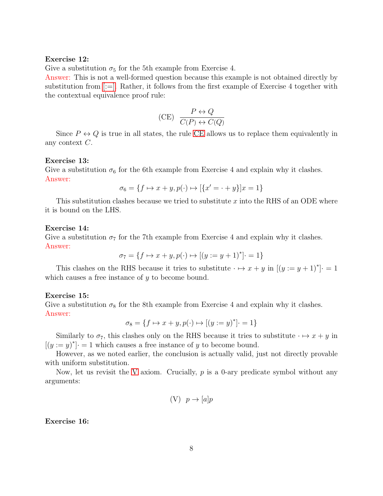### Exercise 12:

Give a substitution  $\sigma_5$  for the 5th example from Exercise 4.

Answer: This is not a well-formed question because this example is not obtained directly by substitution from [\[:=\].](#page-4-1) Rather, it follows from the first example of Exercise 4 together with the contextual equivalence proof rule:

$$
(CE) \frac{P \leftrightarrow Q}{C(P) \leftrightarrow C(Q)}
$$

Since  $P \leftrightarrow Q$  is true in all states, the rule [CE](#page-0-0) allows us to replace them equivalently in any context C.

### Exercise 13:

Give a substitution  $\sigma_6$  for the 6th example from Exercise 4 and explain why it clashes. Answer:

$$
\sigma_6 = \{ f \mapsto x + y, p(\cdot) \mapsto [\{x' = \cdot + y\}]x = 1 \}
$$

This substitution clashes because we tried to substitute x into the RHS of an ODE where it is bound on the LHS.

### Exercise 14:

Give a substitution  $\sigma_7$  for the 7th example from Exercise 4 and explain why it clashes. Answer:

$$
\sigma_7 = \{ f \mapsto x + y, p(\cdot) \mapsto [(y := y + 1)^*] \cdot = 1 \}
$$

This clashes on the RHS because it tries to substitute  $\cdot \mapsto x + y$  in  $[(y := y + 1)^*] \cdot = 1$ which causes a free instance of y to become bound.

### Exercise 15:

Give a substitution  $\sigma_8$  for the 8th example from Exercise 4 and explain why it clashes. Answer:

$$
\sigma_8 = \{ f \mapsto x + y, p(\cdot) \mapsto [(y := y)^*] \cdot = 1 \}
$$

Similarly to  $\sigma_7$ , this clashes only on the RHS because it tries to substitute  $\cdot \mapsto x + y$  in  $[(y := y)^*] = 1$  which causes a free instance of y to become bound.

However, as we noted earlier, the conclusion is actually valid, just not directly provable with uniform substitution.

Now, let us revisit the [V](#page-7-0) axiom. Crucially,  $p$  is a 0-ary predicate symbol without any arguments:

<span id="page-7-0"></span>
$$
(V) p \to [a] p
$$

Exercise 16: